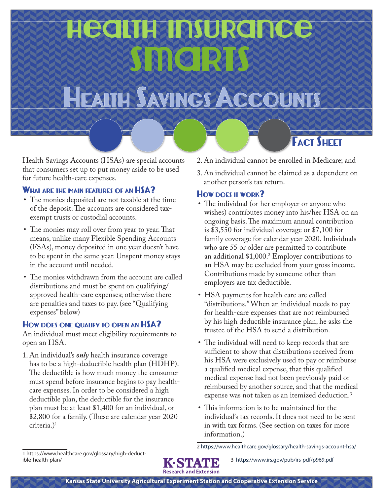# **Health Insurance Smarts**

## HEAITH SAVINGS ACCOUNTS

Health Savings Accounts (HSAs) are special accounts that consumers set up to put money aside to be used for future health-care expenses.

#### WHAT ARE THE MAIN FEATURES OF AN HSA?

- The monies deposited are not taxable at the time of the deposit. The accounts are considered taxexempt trusts or custodial accounts.
- The monies may roll over from year to year. That means, unlike many Flexible Spending Accounts (FSAs), money deposited in one year doesn't have to be spent in the same year. Unspent money stays in the account until needed.
- The monies withdrawn from the account are called distributions and must be spent on qualifying/ approved health-care expenses; otherwise there are penalties and taxes to pay. (see "Qualifying expenses" below)

#### HOW DOES ONE QUALIFY TO OPEN AN HSA?

An individual must meet eligibility requirements to open an HSA.

1. An individual's *only* health insurance coverage has to be a high-deductible health plan (HDHP). The deductible is how much money the consumer must spend before insurance begins to pay healthcare expenses. In order to be considered a high deductible plan, the deductible for the insurance plan must be at least \$1,400 for an individual, or \$2,800 for a family. (These are calendar year 2020 criteria.)1

2. An individual cannot be enrolled in Medicare; and

**FACT SHEET** 

3. An individual cannot be claimed as a dependent on another person's tax return.

#### How does it work?

- The individual (or her employer or anyone who wishes) contributes money into his/her HSA on an ongoing basis. The maximum annual contribution is \$3,550 for individual coverage or \$7,100 for family coverage for calendar year 2020. Individuals who are 55 or older are permitted to contribute an additional \$1,000.2 Employer contributions to an HSA may be excluded from your gross income. Contributions made by someone other than employers are tax deductible.
- HSA payments for health care are called "distributions." When an individual needs to pay for health-care expenses that are not reimbursed by his high deductible insurance plan, he asks the trustee of the HSA to send a distribution.
- The individual will need to keep records that are sufficient to show that distributions received from his HSA were exclusively used to pay or reimburse a qualified medical expense, that this qualified medical expense had not been previously paid or reimbursed by another source, and that the medical expense was not taken as an itemized deduction.<sup>3</sup>
- This information is to be maintained for the individual's tax records. It does not need to be sent in with tax forms. (See section on taxes for more information.)

2 https://www.healthcare.gov/glossary/health-savings-account-hsa/



3 https://www.irs.gov/pub/irs-pdf/p969.pdf

[1 https://www.healthcare.gov/glossary/high-deduct](https://www.healthcare.gov/glossary/high-deductible-health-plan/)ible-health-plan/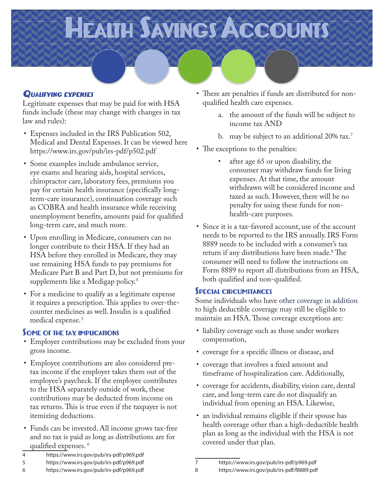### HEALTH SAVINGS ACCOUNTS

#### *Qualifying expenses*

Legitimate expenses that may be paid for with HSA funds include (these may change with changes in tax law and rules):

- Expenses included in the IRS Publication 502, Medical and Dental Expenses. It can be viewed here https://www.irs.gov/pub/irs-pdf/p502.pdf
- Some examples include ambulance service, eye exams and hearing aids, hospital services, chiropractor care, laboratory fees, premiums you pay for certain health insurance (specifically longterm-care insurance), continuation coverage such as COBRA and health insurance while receiving unemployment benefits, amounts paid for qualified long-term care, and much more.
- Upon enrolling in Medicare, consumers can no longer contribute to their HSA. If they had an HSA before they enrolled in Medicare, they may use remaining HSA funds to pay premiums for Medicare Part B and Part D, but not premiums for supplements like a Medigap policy.<sup>4</sup>
- For a medicine to qualify as a legitimate expense it requires a prescription. This applies to over-thecounter medicines as well. Insulin is a qualified medical expense. <sup>5</sup>

#### SOME OF THE TAX IMPLICATIONS

- Employer contributions may be excluded from your gross income.
- Employee contributions are also considered pretax income if the employer takes them out of the employee's paycheck. If the employee contributes to the HSA separately outside of work, these contributions may be deducted from income on tax returns. This is true even if the taxpayer is not itemizing deductions.
- Funds can be invested. All income grows tax-free and no tax is paid as long as distributions are for qualified expenses. 6
- 4 https://www.irs.gov/pub/irs-pdf/p969.pdf
- 5 https://www.irs.gov/pub/irs-pdf/p969.pdf
- 6 https://www.irs.gov/pub/irs-pdf/p969.pdf
- There are penalties if funds are distributed for nonqualified health care expenses.
	- a. the amount of the funds will be subject to income tax AND
	- b. may be subject to an additional 20% tax.<sup>7</sup>
- The exceptions to the penalties:
	- after age 65 or upon disability, the consumer may withdraw funds for living expenses. At that time, the amount withdrawn will be considered income and taxed as such. However, there will be no penalty for using these funds for nonhealth-care purposes.
- Since it is a tax-favored account, use of the account needs to be reported to the IRS annually. IRS Form 8889 needs to be included with a consumer's tax return if any distributions have been made.8 The consumer will need to follow the instructions on Form 8889 to report all distributions from an HSA, both qualified and non-qualified.

#### Special circumstances

Some individuals who have other coverage in addition to high deductible coverage may still be eligible to maintain an HSA. Those coverage exceptions are:

- liability coverage such as those under workers compensation,
- coverage for a specific illness or disease, and
- coverage that involves a fixed amount and timeframe of hospitalization care. Additionally,
- coverage for accidents, disability, vision care, dental care, and long-term care do not disqualify an individual from opening an HSA. Likewise,
- an individual remains eligible if their spouse has health coverage other than a high-deductible health plan as long as the individual with the HSA is not covered under that plan.

8 https://www.irs.gov/pub/irs-pdf/f8889.pdf

<sup>7</sup> https://www.irs.gov/pub/irs-pdf/p969.pdf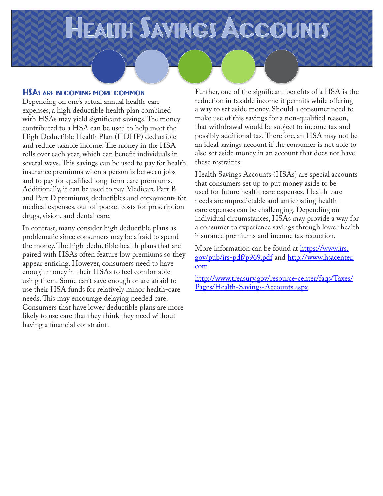### HEALTH SAVINGS ACCOUNTS

#### HSAs are becoming more common

Depending on one's actual annual health-care expenses, a high deductible health plan combined with HSAs may yield significant savings. The money contributed to a HSA can be used to help meet the High Deductible Health Plan (HDHP) deductible and reduce taxable income. The money in the HSA rolls over each year, which can benefit individuals in several ways. This savings can be used to pay for health insurance premiums when a person is between jobs and to pay for qualified long-term care premiums. Additionally, it can be used to pay Medicare Part B and Part D premiums, deductibles and copayments for medical expenses, out-of-pocket costs for prescription drugs, vision, and dental care.

In contrast, many consider high deductible plans as problematic since consumers may be afraid to spend the money. The high-deductible health plans that are paired with HSAs often feature low premiums so they appear enticing. However, consumers need to have enough money in their HSAs to feel comfortable using them. Some can't save enough or are afraid to use their HSA funds for relatively minor health-care needs. This may encourage delaying needed care. Consumers that have lower deductible plans are more likely to use care that they think they need without having a financial constraint.

Further, one of the significant benefits of a HSA is the reduction in taxable income it permits while offering a way to set aside money. Should a consumer need to make use of this savings for a non-qualified reason, that withdrawal would be subject to income tax and possibly additional tax. Therefore, an HSA may not be an ideal savings account if the consumer is not able to also set aside money in an account that does not have these restraints.

Health Savings Accounts (HSAs) are special accounts that consumers set up to put money aside to be used for future health-care expenses. Health-care needs are unpredictable and anticipating healthcare expenses can be challenging. Depending on individual circumstances, HSAs may provide a way for a consumer to experience savings through lower health insurance premiums and income tax reduction.

More information can be found at [https://www.irs.](https://www.irs.gov/pub/irs-pdf/p969.pdf) [gov/pub/irs-pdf/p969.pdf](https://www.irs.gov/pub/irs-pdf/p969.pdf) and [http://www.hsacenter.](http://www.hsacenter.com/) [com](http://www.hsacenter.com/)

[http://www.treasury.gov/resource-center/faqs/Taxes/](http://www.treasury.gov/resource-center/faqs/Taxes/Pages/Health-Savings-Accounts.aspx) [Pages/Health-Savings-Accounts.aspx](http://www.treasury.gov/resource-center/faqs/Taxes/Pages/Health-Savings-Accounts.aspx)